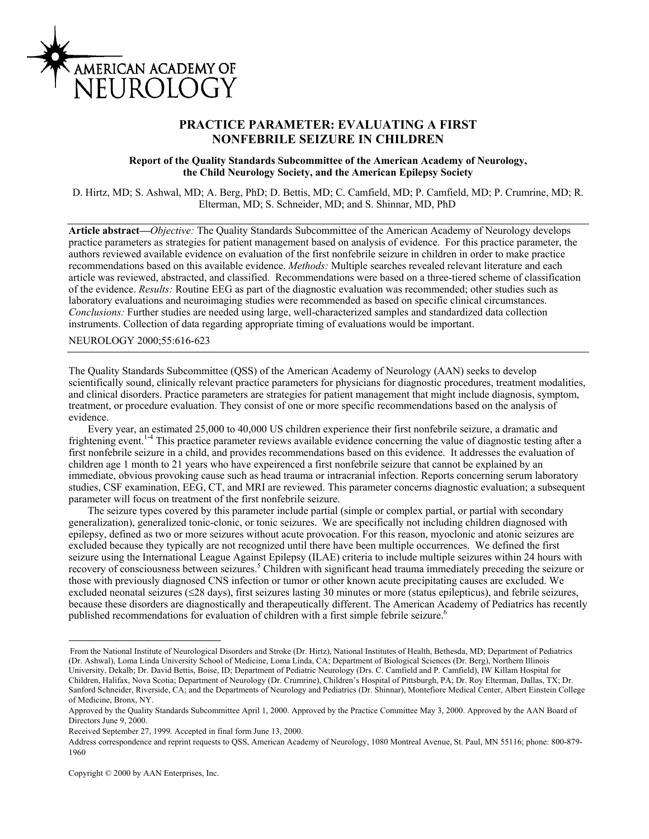

# **PRACTICE PARAMETER: EVALUATING A FIRST NONFEBRILE SEIZURE IN CHILDREN**

### **Report of the Quality Standards Subcommittee of the American Academy of Neurology, the Child Neurology Society, and the American Epilepsy Society**

D. Hirtz, MD; S. Ashwal, MD; A. Berg, PhD; D. Bettis, MD; C. Camfield, MD; P. Camfield, MD; P. Crumrine, MD; R. Elterman, MD; S. Schneider, MD; and S. Shinnar, MD, Ph[D](#page-1-0)

**Article abstract—***Objective:* The Quality Standards Subcommittee of the American Academy of Neurology develops practice parameters as strategies for patient management based on analysis of evidence. For this practice parameter, the authors reviewed available evidence on evaluation of the first nonfebrile seizure in children in order to make practice recommendations based on this available evidence. *Methods:* Multiple searches revealed relevant literature and each article was reviewed, abstracted, and classified. Recommendations were based on a three-tiered scheme of classification of the evidence. *Results:* Routine EEG as part of the diagnostic evaluation was recommended; other studies such as laboratory evaluations and neuroimaging studies were recommended as based on specific clinical circumstances. *Conclusions:* Further studies are needed using large, well-characterized samples and standardized data collection instruments. Collection of data regarding appropriate timing of evaluations would be important.

#### NEUROLOGY 2000;55:616-623

The Quality Standards Subcommittee (QSS) of the American Academy of Neurology (AAN) seeks to develop scientifically sound, clinically relevant practice parameters for physicians for diagnostic procedures, treatment modalities, and clinical disorders. Practice parameters are strategies for patient management that might include diagnosis, symptom, treatment, or procedure evaluation. They consist of one or more specific recommendations based on the analysis of evidence.

Every year, an estimated 25,000 to 40,000 US children experience their first nonfebrile seizure, a dramatic and frightening event.<sup>1-4</sup> This practice parameter reviews available evidence concerning the value of diagnostic testing after a first nonfebrile seizure in a child, and provides recommendations based on this evidence. It addresses the evaluation of children age 1 month to 21 years who have expeirenced a first nonfebrile seizure that cannot be explained by an immediate, obvious provoking cause such as head trauma or intracranial infection. Reports concerning serum laboratory studies, CSF examination, EEG, CT, and MRI are reviewed. This parameter concerns diagnostic evaluation; a subsequent parameter will focus on treatment of the first nonfebrile seizure.

The seizure types covered by this parameter include partial (simple or complex partial, or partial with secondary generalization), generalized tonic-clonic, or tonic seizures. We are specifically not including children diagnosed with epilepsy, defined as two or more seizures without acute provocation. For this reason, myoclonic and atonic seizures are excluded because they typically are not recognized until there have been multiple occurrences. We defined the first seizure using the International League Against Epilepsy (ILAE) criteria to include multiple seizures within 24 hours with recovery of consciousness between seizures.<sup>5</sup> Children with significant head trauma immediately preceding the seizure or those with previously diagnosed CNS infection or tumor or other known acute precipitating causes are excluded. We excluded neonatal seizures (≤28 days), first seizures lasting 30 minutes or more (status epilepticus), and febrile seizures, because these disorders are diagnostically and therapeutically different. The American Academy of Pediatrics has recently published recommendations for evaluation of children with a first simple febrile seizure.<sup>6</sup>

l

<span id="page-1-0"></span>From the National Institute of Neurological Disorders and Stroke (Dr. Hirtz), National Institutes of Health, Bethesda, MD; Department of Pediatrics (Dr. Ashwal), Loma Linda University School of Medicine, Loma Linda, CA; Department of Biological Sciences (Dr. Berg), Northern Illinois University, Dekalb; Dr. David Bettis, Boise, ID; Department of Pediatric Neurology (Drs. C. Camfield and P. Camfield), IW Killam Hospital for Children, Halifax, Nova Scotia; Department of Neurology (Dr. Crumrine), Children's Hospital of Pittsburgh, PA; Dr. Roy Elterman, Dallas, TX; Dr. Sanford Schneider, Riverside, CA; and the Departments of Neurology and Pediatrics (Dr. Shinnar), Montefiore Medical Center, Albert Einstein College of Medicine, Bronx, NY.

Approved by the Quality Standards Subcommittee April 1, 2000. Approved by the Practice Committee May 3, 2000. Approved by the AAN Board of Directors June 9, 2000.

Received September 27, 1999. Accepted in final form June 13, 2000.

Address correspondence and reprint requests to QSS, American Academy of Neurology, 1080 Montreal Avenue, St. Paul, MN 55116; phone: 800-879- 1960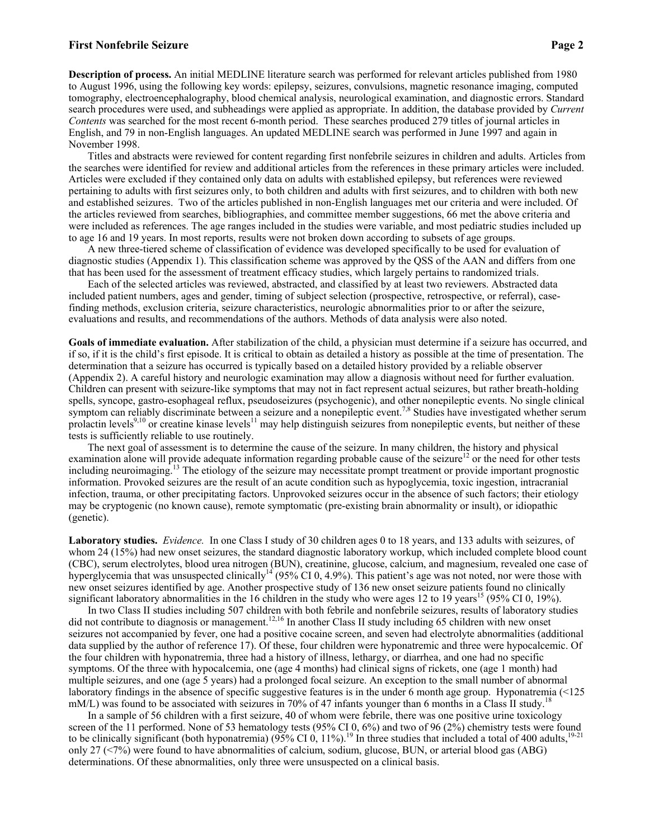**Description of process.** An initial MEDLINE literature search was performed for relevant articles published from 1980 to August 1996, using the following key words: epilepsy, seizures, convulsions, magnetic resonance imaging, computed tomography, electroencephalography, blood chemical analysis, neurological examination, and diagnostic errors. Standard search procedures were used, and subheadings were applied as appropriate. In addition, the database provided by *Current Contents* was searched for the most recent 6-month period. These searches produced 279 titles of journal articles in English, and 79 in non-English languages. An updated MEDLINE search was performed in June 1997 and again in November 1998.

Titles and abstracts were reviewed for content regarding first nonfebrile seizures in children and adults. Articles from the searches were identified for review and additional articles from the references in these primary articles were included. Articles were excluded if they contained only data on adults with established epilepsy, but references were reviewed pertaining to adults with first seizures only, to both children and adults with first seizures, and to children with both new and established seizures. Two of the articles published in non-English languages met our criteria and were included. Of the articles reviewed from searches, bibliographies, and committee member suggestions, 66 met the above criteria and were included as references. The age ranges included in the studies were variable, and most pediatric studies included up to age 16 and 19 years. In most reports, results were not broken down according to subsets of age groups.

A new three-tiered scheme of classification of evidence was developed specifically to be used for evaluation of diagnostic studies (Appendix 1). This classification scheme was approved by the QSS of the AAN and differs from one that has been used for the assessment of treatment efficacy studies, which largely pertains to randomized trials.

Each of the selected articles was reviewed, abstracted, and classified by at least two reviewers. Abstracted data included patient numbers, ages and gender, timing of subject selection (prospective, retrospective, or referral), casefinding methods, exclusion criteria, seizure characteristics, neurologic abnormalities prior to or after the seizure, evaluations and results, and recommendations of the authors. Methods of data analysis were also noted.

**Goals of immediate evaluation.** After stabilization of the child, a physician must determine if a seizure has occurred, and if so, if it is the child's first episode. It is critical to obtain as detailed a history as possible at the time of presentation. The determination that a seizure has occurred is typically based on a detailed history provided by a reliable observer (Appendix 2). A careful history and neurologic examination may allow a diagnosis without need for further evaluation. Children can present with seizure-like symptoms that may not in fact represent actual seizures, but rather breath-holding spells, syncope, gastro-esophageal reflux, pseudoseizures (psychogenic), and other nonepileptic events. No single clinical symptom can reliably discriminate between a seizure and a nonepileptic event.<sup>7,8</sup> Studies have investigated whether serum prolactin levels<sup>9,10</sup> or creatine kinase levels<sup>11</sup> may help distinguish seizures from nonepileptic events, but neither of these tests is sufficiently reliable to use routinely.

The next goal of assessment is to determine the cause of the seizure. In many children, the history and physical examination alone will provide adequate information regarding probable cause of the seizure<sup>12</sup> or the need for other tests including neuroimaging.13 The etiology of the seizure may necessitate prompt treatment or provide important prognostic information. Provoked seizures are the result of an acute condition such as hypoglycemia, toxic ingestion, intracranial infection, trauma, or other precipitating factors. Unprovoked seizures occur in the absence of such factors; their etiology may be cryptogenic (no known cause), remote symptomatic (pre-existing brain abnormality or insult), or idiopathic (genetic).

**Laboratory studies.** *Evidence.* In one Class I study of 30 children ages 0 to 18 years, and 133 adults with seizures, of whom 24 (15%) had new onset seizures, the standard diagnostic laboratory workup, which included complete blood count (CBC), serum electrolytes, blood urea nitrogen (BUN), creatinine, glucose, calcium, and magnesium, revealed one case of hyperglycemia that was unsuspected clinically<sup>14</sup> (95% CI 0, 4.9%). This patient's age was not noted, nor were those with new onset seizures identified by age. Another prospective study of 136 new onset seizure patients found no clinically significant laboratory abnormalities in the 16 children in the study who were ages 12 to 19 years<sup>15</sup> (95% CI 0, 19%).

In two Class II studies including 507 children with both febrile and nonfebrile seizures, results of laboratory studies did not contribute to diagnosis or management.<sup>12,16</sup> In another Class II study including 65 children with new onset seizures not accompanied by fever, one had a positive cocaine screen, and seven had electrolyte abnormalities (additional data supplied by the author of reference 17). Of these, four children were hyponatremic and three were hypocalcemic. Of the four children with hyponatremia, three had a history of illness, lethargy, or diarrhea, and one had no specific symptoms. Of the three with hypocalcemia, one (age 4 months) had clinical signs of rickets, one (age 1 month) had multiple seizures, and one (age 5 years) had a prolonged focal seizure. An exception to the small number of abnormal laboratory findings in the absence of specific suggestive features is in the under 6 month age group. Hyponatremia (<125 mM/L) was found to be associated with seizures in 70% of 47 infants younger than 6 months in a Class II study.<sup>18</sup>

In a sample of 56 children with a first seizure, 40 of whom were febrile, there was one positive urine toxicology screen of the 11 performed. None of 53 hematology tests (95% CI 0, 6%) and two of 96 (2%) chemistry tests were found to be clinically significant (both hyponatremia)  $(95\% \text{ CI } 0, 11\%)$ .<sup>19</sup> In three studies that included a total of 400 adults,<sup>1</sup> only 27 (<7%) were found to have abnormalities of calcium, sodium, glucose, BUN, or arterial blood gas (ABG) determinations. Of these abnormalities, only three were unsuspected on a clinical basis.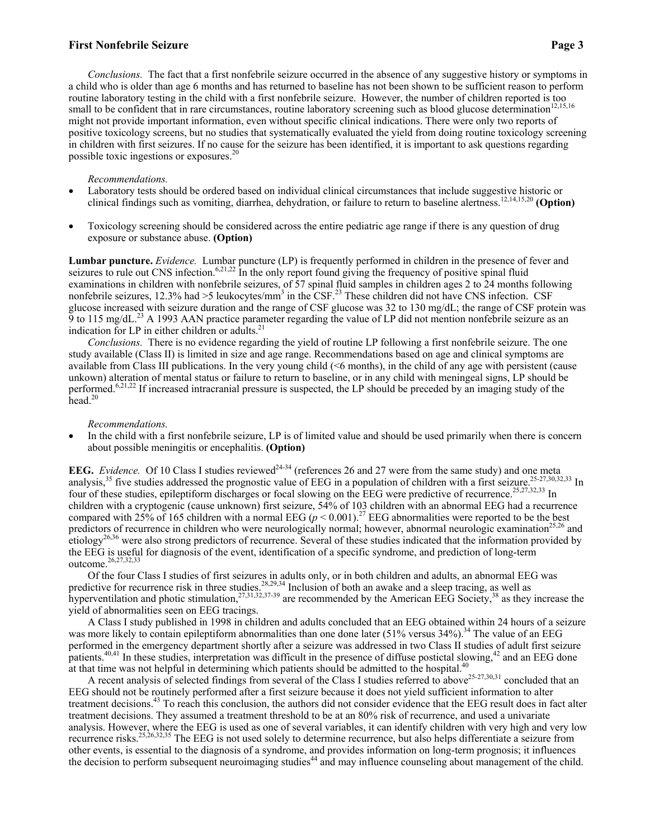*Conclusions.* The fact that a first nonfebrile seizure occurred in the absence of any suggestive history or symptoms in a child who is older than age 6 months and has returned to baseline has not been shown to be sufficient reason to perform routine laboratory testing in the child with a first nonfebrile seizure. However, the number of children reported is too small to be confident that in rare circumstances, routine laboratory screening such as blood glucose determination<sup>12,15,16</sup> might not provide important information, even without specific clinical indications. There were only two reports of positive toxicology screens, but no studies that systematically evaluated the yield from doing routine toxicology screening in children with first seizures. If no cause for the seizure has been identified, it is important to ask questions regarding possible toxic ingestions or exposures.20

#### *Recommendations.*

- Laboratory tests should be ordered based on individual clinical circumstances that include suggestive historic or clinical findings such as vomiting, diarrhea, dehydration, or failure to return to baseline alertness.12,14,15,20 **(Option)**
- Toxicology screening should be considered across the entire pediatric age range if there is any question of drug exposure or substance abuse. **(Option)**

**Lumbar puncture.** *Evidence.* Lumbar puncture (LP) is frequently performed in children in the presence of fever and seizures to rule out CNS infection.<sup>6,21,22</sup> In the only report found giving the frequency of positive spinal fluid examinations in children with nonfebrile seizures, of 57 spinal fluid samples in children ages 2 to 24 months following nonfebrile seizures, 12.3% had  $>5$  leukocytes/mm<sup>3</sup> in the CSF.<sup>23</sup> These children did not have CNS infection. CSF glucose increased with seizure duration and the range of CSF glucose was 32 to 130 mg/dL; the range of CSF protein was 9 to 115 mg/dL.<sup>23</sup> A 1993 AAN practice parameter regarding the value of LP did not mention nonfebrile seizure as an indication for LP in either children or adults. $21$ 

*Conclusions.* There is no evidence regarding the yield of routine LP following a first nonfebrile seizure. The one study available (Class II) is limited in size and age range. Recommendations based on age and clinical symptoms are available from Class III publications. In the very young child (<6 months), in the child of any age with persistent (cause unkown) alteration of mental status or failure to return to baseline, or in any child with meningeal signs, LP should be performed.<sup>6,21,22</sup> If increased intracranial pressure is suspected, the LP should be preceded by an imaging study of the  $\bar{h}$ ead<sup>20</sup>

#### *Recommendations.*

In the child with a first nonfebrile seizure, LP is of limited value and should be used primarily when there is concern about possible meningitis or encephalitis. **(Option)**

**EEG.** *Evidence*. Of 10 Class I studies reviewed<sup>24-34</sup> (references 26 and 27 were from the same study) and one meta analysis,<sup>35</sup> five studies addressed the prognostic value of EEG in a population of children with a first seizure.<sup>25-27,30,32,33</sup> In four of these studies, epileptiform discharges or focal slowing on the EEG were predictive of recurrence.<sup>25,27,32,33</sup> In children with a cryptogenic (cause unknown) first seizure, 54% of 103 children with an abnormal EEG had a recurrence compared with  $25\%$  of 165 children with a normal EEG ( $p < 0.001$ ).<sup>27</sup> EEG abnormalities were reported to be the best predictors of recurrence in children who were neurologically normal; however, abnormal neurologic examination<sup>25,26</sup> and etiology<sup>26,36</sup> were also strong predictors of recurrence. Several of these studies indicated that the information provided by the EEG is useful for diagnosis of the event, identification of a specific syndrome, and prediction of long-term outcome. 26,27,32,33

Of the four Class I studies of first seizures in adults only, or in both children and adults, an abnormal EEG was predictive for recurrence risk in three studies.<sup>28,29,34</sup> Inclusion of both an awake and a sleep tracing, as well as hyperventilation and photic stimulation,  $2^{7,31,32,37-39}$  are recommended by the American EEG Society,  $38$  as they increase the yield of abnormalities seen on EEG tracings.

A Class I study published in 1998 in children and adults concluded that an EEG obtained within 24 hours of a seizure was more likely to contain epileptiform abnormalities than one done later  $(51\%$  versus  $34\%)$ .<sup>34</sup> The value of an EEG performed in the emergency department shortly after a seizure was addressed in two Class II studies of adult first seizure patients.<sup>40,41</sup> In these studies, interpretation was difficult in the presence of diffuse postictal slowing,<sup>42</sup> and an EEG done at that time was not helpful in determining which patients should be admitted to the hospital. $40$ 

A recent analysis of selected findings from several of the Class I studies referred to above<sup>25-27,30,31</sup> concluded that an EEG should not be routinely performed after a first seizure because it does not yield sufficient information to alter treatment decisions. 43 To reach this conclusion, the authors did not consider evidence that the EEG result does in fact alter treatment decisions. They assumed a treatment threshold to be at an 80% risk of recurrence, and used a univariate analysis. However, where the EEG is used as one of several variables, it can identify children with very high and very low recurrence risks.<sup>25,26,32,35</sup> The EEG is not used solely to determine recurrence, but also helps differentiate a seizure from other events, is essential to the diagnosis of a syndrome, and provides information on long-term prognosis; it influences the decision to perform subsequent neuroimaging studies<sup>44</sup> and may influence counseling about management of the child.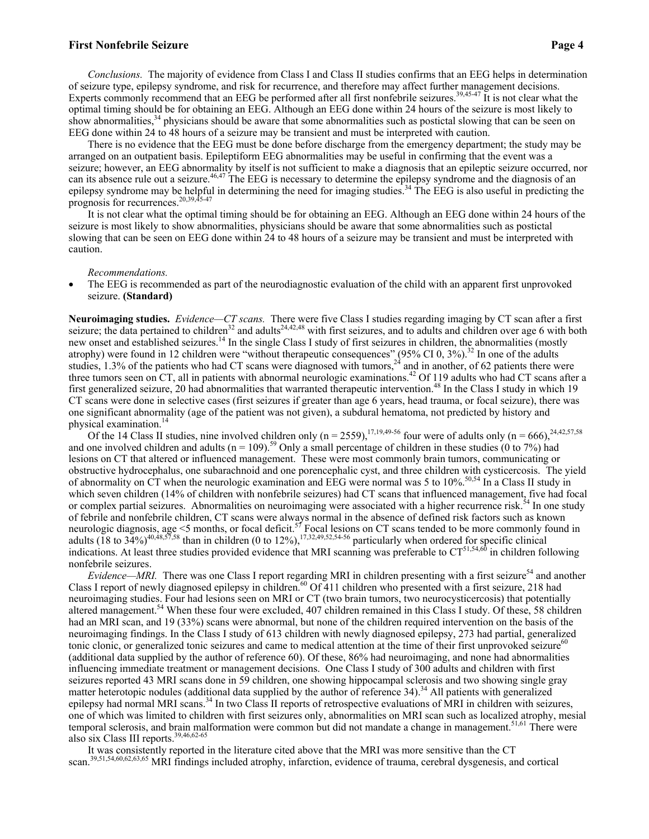*Conclusions.* The majority of evidence from Class I and Class II studies confirms that an EEG helps in determination of seizure type, epilepsy syndrome, and risk for recurrence, and therefore may affect further management decisions. Experts commonly recommend that an EEG be performed after all first nonfebrile seizures.<sup>39,45-47</sup> It is not clear what the optimal timing should be for obtaining an EEG. Although an EEG done within 24 hours of the seizure is most likely to show abnormalities,<sup>34</sup> physicians should be aware that some abnormalities such as postictal slowing that can be seen on EEG done within 24 to 48 hours of a seizure may be transient and must be interpreted with caution.

There is no evidence that the EEG must be done before discharge from the emergency department; the study may be arranged on an outpatient basis. Epileptiform EEG abnormalities may be useful in confirming that the event was a seizure; however, an EEG abnormality by itself is not sufficient to make a diagnosis that an epileptic seizure occurred, nor can its absence rule out a seizure.<sup>46,47</sup> The EEG is necessary to determine the epilepsy syndrome and the diagnosis of an epilepsy syndrome may be helpful in determining the need for imaging studies.<sup>34</sup> The EEG is also useful in predicting the prognosis for recurrences.<sup>20,39,45-47</sup>

It is not clear what the optimal timing should be for obtaining an EEG. Although an EEG done within 24 hours of the seizure is most likely to show abnormalities, physicians should be aware that some abnormalities such as postictal slowing that can be seen on EEG done within 24 to 48 hours of a seizure may be transient and must be interpreted with caution.

#### *Recommendations.*

• The EEG is recommended as part of the neurodiagnostic evaluation of the child with an apparent first unprovoked seizure. **(Standard)**

**Neuroimaging studies.** *Evidence—CT scans.* There were five Class I studies regarding imaging by CT scan after a first seizure; the data pertained to children<sup>32</sup> and adults<sup>24,42,48</sup> with first seizures, and to adults and children over age 6 with both new onset and established seizures.<sup>14</sup> In the single Class I study of first seizures in children, the abnormalities (mostly atrophy) were found in 12 children were "without therapeutic consequences" (95% CI 0, 3%).<sup>32</sup> In one of the adults studies, 1.3% of the patients who had CT scans were diagnosed with tumors,  $24$  and in another, of 62 patients there were three tumors seen on CT, all in patients with abnormal neurologic examinations. <sup>42</sup> Of 119 adults who had CT scans after a first generalized seizure, 20 had abnormalities that warranted therapeutic intervention.<sup>48</sup> In the Class I study in which 19 CT scans were done in selective cases (first seizures if greater than age 6 years, head trauma, or focal seizure), there was one significant abnormality (age of the patient was not given), a subdural hematoma, not predicted by history and physical examination.<sup>14</sup>

Of the 14 Class II studies, nine involved children only (n = 2559),<sup>17,19,49-56</sup> four were of adults only (n = 666),<sup>24,42,57,58</sup> and one involved children and adults ( $n = 109$ ).<sup>59</sup> Only a small percentage of children in these studies (0 to 7%) had lesions on CT that altered or influenced management. These were most commonly brain tumors, communicating or obstructive hydrocephalus, one subarachnoid and one porencephalic cyst, and three children with cysticercosis. The yield of abnormality on  $CT$  when the neurologic examination and EEG were normal was 5 to 10%.<sup>50,54</sup> In a Class II study in which seven children (14% of children with nonfebrile seizures) had CT scans that influenced management, five had focal or complex partial seizures. Abnormalities on neuroimaging were associated with a higher recurrence risk.<sup>54</sup> In one study of febrile and nonfebrile children, CT scans were always normal in the absence of defined risk factors such as known neurologic diagnosis, age <5 months, or focal deficit.<sup>57</sup> Focal lesions on CT scans tended to be more commonly found in adults (18 to 34%)<sup>40,48,57,58</sup> than in children (0 to 12%),<sup>17,32,49,52,54-56</sup> particularly when ordered for specific clinical indications. At least three studies provided evidence that MRI scanning was preferable to  $CT^{51,54,60}$  in children following nonfebrile seizures.

*Evidence—MRI.* There was one Class I report regarding MRI in children presenting with a first seizure<sup>54</sup> and another Class I report of newly diagnosed epilepsy in children.<sup>60</sup> Of 411 children who presented with a first seizure, 218 had neuroimaging studies. Four had lesions seen on MRI or CT (two brain tumors, two neurocysticercosis) that potentially altered management.<sup>54</sup> When these four were excluded, 407 children remained in this Class I study. Of these, 58 children had an MRI scan, and 19 (33%) scans were abnormal, but none of the children required intervention on the basis of the neuroimaging findings. In the Class I study of 613 children with newly diagnosed epilepsy, 273 had partial, generalized tonic clonic, or generalized tonic seizures and came to medical attention at the time of their first unprovoked seizure<sup>60</sup> (additional data supplied by the author of reference 60). Of these, 86% had neuroimaging, and none had abnormalities influencing immediate treatment or management decisions. One Class I study of 300 adults and children with first seizures reported 43 MRI scans done in 59 children, one showing hippocampal sclerosis and two showing single gray matter heterotopic nodules (additional data supplied by the author of reference  $34$ ).<sup>34</sup> All patients with generalized epilepsy had normal MRI scans.<sup>34</sup> In two Class II reports of retrospective evaluations of MRI in children with seizures, one of which was limited to children with first seizures only, abnormalities on MRI scan such as localized atrophy, mesial temporal sclerosis, and brain malformation were common but did not mandate a change in management.<sup>51,61</sup> There were also six Class III reports.<sup>39,46,62-65</sup>

It was consistently reported in the literature cited above that the MRI was more sensitive than the CT scan.<sup>39,51,54,60,62,63,65</sup> MRI findings included atrophy, infarction, evidence of trauma, cerebral dysgenesis, and cortical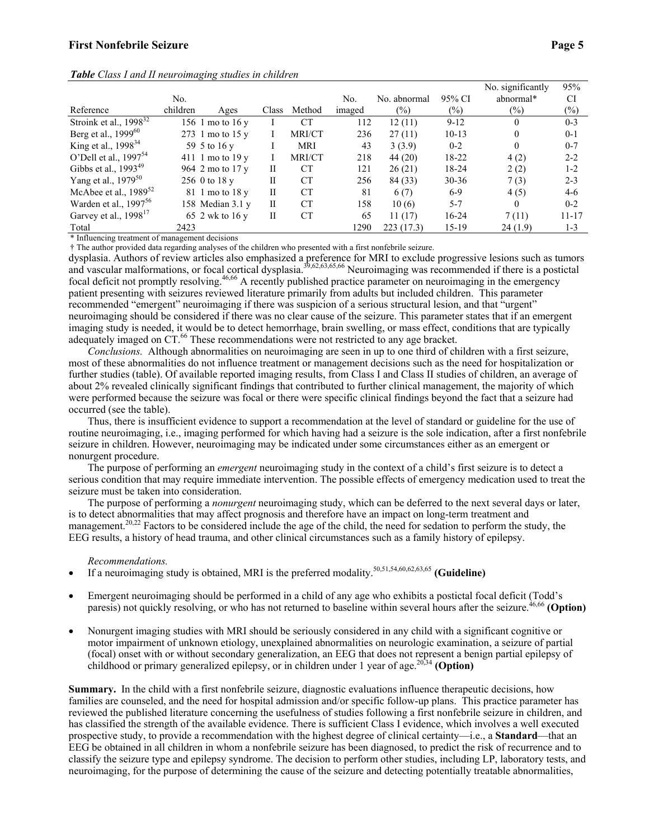|                                    |          |                   |              |               |        |               |           | No. significantly | 95%       |
|------------------------------------|----------|-------------------|--------------|---------------|--------|---------------|-----------|-------------------|-----------|
|                                    | No.      |                   |              |               | No.    | No. abnormal  | 95% CI    | abnormal*         | <b>CI</b> |
| Reference                          | children | Ages              | Class        | Method        | imaged | $\frac{1}{2}$ | $(\%)$    | $(\%)$            | $(\%)$    |
| Stroink et al., 1998 <sup>32</sup> |          | 156 1 mo to 16 y  |              | <b>CT</b>     | 112    | 12(11)        | $9 - 12$  | $\theta$          | $0 - 3$   |
| Berg et al., 1999 <sup>60</sup>    |          | 273 1 mo to 15 y  |              | <b>MRI/CT</b> | 236    | 27(11)        | $10-13$   | $\Omega$          | $0-1$     |
| King et al., $1998^{34}$           |          | 59 5 to 16 y      |              | <b>MRI</b>    | 43     | 3(3.9)        | $0 - 2$   | $\Omega$          | $0 - 7$   |
| O'Dell et al., 1997 <sup>54</sup>  |          | 411 1 mo to $19y$ |              | <b>MRI/CT</b> | 218    | 44 (20)       | 18-22     | 4(2)              | $2 - 2$   |
| Gibbs et al., $1993^{49}$          |          | 964 2 mo to 17 y  | Н            | <b>CT</b>     | 121    | 26(21)        | 18-24     | 2(2)              | $1 - 2$   |
| Yang et al., $1979^{50}$           |          | 256 0 to 18 y     | $\mathbf{I}$ | <b>CT</b>     | 256    | 84 (33)       | $30 - 36$ | 7(3)              | $2 - 3$   |
| McAbee et al., $1989^{52}$         |          | 81 1 mo to 18 y   | П            | <b>CT</b>     | 81     | 6(7)          | $6-9$     | 4 (5)             | $4-6$     |
| Warden et al., 1997 <sup>56</sup>  |          | 158 Median 3.1 y  | Н            | CT            | 158    | 10(6)         | $5 - 7$   | $\Omega$          | $0 - 2$   |
| Garvey et al., 1998 <sup>17</sup>  |          | 65 2 wk to 16 y   | П            | <b>CT</b>     | 65     | 11 (17)       | $16-24$   | 7(11)             | $11 - 17$ |
| Total                              | 2423     |                   |              |               | 1290   | 223(17.3)     | $15-19$   | 24(1.9)           | $1 - 3$   |

|  |  | Table Class I and II neuroimaging studies in children |  |  |
|--|--|-------------------------------------------------------|--|--|
|--|--|-------------------------------------------------------|--|--|

\* Influencing treatment of management decisions

† The author provided data regarding analyses of the children who presented with a first nonfebrile seizure.

dysplasia. Authors of review articles also emphasized a preference for MRI to exclude progressive lesions such as tumors and vascular malformations, or focal cortical dysplasia.<sup>39,62,63,65,66</sup> Neuroimaging was recommended if there is a postictal focal deficit not promptly resolving.<sup>46,66</sup> A recently published practice parameter on neuroimaging in the emergency patient presenting with seizures reviewed literature primarily from adults but included children. This parameter recommended "emergent" neuroimaging if there was suspicion of a serious structural lesion, and that "urgent" neuroimaging should be considered if there was no clear cause of the seizure. This parameter states that if an emergent imaging study is needed, it would be to detect hemorrhage, brain swelling, or mass effect, conditions that are typically adequately imaged on CT.<sup>66</sup> These recommendations were not restricted to any age bracket.

*Conclusions.* Although abnormalities on neuroimaging are seen in up to one third of children with a first seizure, most of these abnormalities do not influence treatment or management decisions such as the need for hospitalization or further studies (table). Of available reported imaging results, from Class I and Class II studies of children, an average of about 2% revealed clinically significant findings that contributed to further clinical management, the majority of which were performed because the seizure was focal or there were specific clinical findings beyond the fact that a seizure had occurred (see the table).

Thus, there is insufficient evidence to support a recommendation at the level of standard or guideline for the use of routine neuroimaging, i.e., imaging performed for which having had a seizure is the sole indication, after a first nonfebrile seizure in children. However, neuroimaging may be indicated under some circumstances either as an emergent or nonurgent procedure.

The purpose of performing an *emergent* neuroimaging study in the context of a child's first seizure is to detect a serious condition that may require immediate intervention. The possible effects of emergency medication used to treat the seizure must be taken into consideration.

The purpose of performing a *nonurgent* neuroimaging study, which can be deferred to the next several days or later, is to detect abnormalities that may affect prognosis and therefore have an impact on long-term treatment and management.<sup>20,22</sup> Factors to be considered include the age of the child, the need for sedation to perform the study, the EEG results, a history of head trauma, and other clinical circumstances such as a family history of epilepsy.

#### *Recommendations.*

- If a neuroimaging study is obtained, MRI is the preferred modality.50,51,54,60,62,63,65 **(Guideline)**
- Emergent neuroimaging should be performed in a child of any age who exhibits a postictal focal deficit (Todd's paresis) not quickly resolving, or who has not returned to baseline within several hours after the seizure.<sup>46,66</sup> (Option)
- Nonurgent imaging studies with MRI should be seriously considered in any child with a significant cognitive or motor impairment of unknown etiology, unexplained abnormalities on neurologic examination, a seizure of partial (focal) onset with or without secondary generalization, an EEG that does not represent a benign partial epilepsy of childhood or primary generalized epilepsy, or in children under 1 year of age.<sup>20,34</sup> (Option)

**Summary.** In the child with a first nonfebrile seizure, diagnostic evaluations influence therapeutic decisions, how families are counseled, and the need for hospital admission and/or specific follow-up plans. This practice parameter has reviewed the published literature concerning the usefulness of studies following a first nonfebrile seizure in children, and has classified the strength of the available evidence. There is sufficient Class I evidence, which involves a well executed prospective study, to provide a recommendation with the highest degree of clinical certainty—i.e., a **Standard**—that an EEG be obtained in all children in whom a nonfebrile seizure has been diagnosed, to predict the risk of recurrence and to classify the seizure type and epilepsy syndrome. The decision to perform other studies, including LP, laboratory tests, and neuroimaging, for the purpose of determining the cause of the seizure and detecting potentially treatable abnormalities,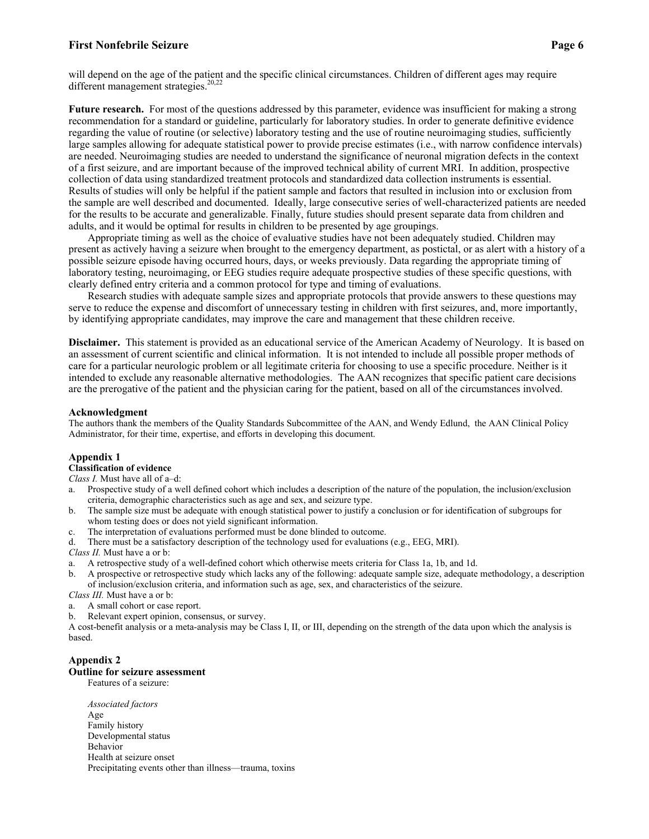will depend on the age of the patient and the specific clinical circumstances. Children of different ages may require different management strategies.<sup>20,22</sup>

**Future research.** For most of the questions addressed by this parameter, evidence was insufficient for making a strong recommendation for a standard or guideline, particularly for laboratory studies. In order to generate definitive evidence regarding the value of routine (or selective) laboratory testing and the use of routine neuroimaging studies, sufficiently large samples allowing for adequate statistical power to provide precise estimates (i.e., with narrow confidence intervals) are needed. Neuroimaging studies are needed to understand the significance of neuronal migration defects in the context of a first seizure, and are important because of the improved technical ability of current MRI. In addition, prospective collection of data using standardized treatment protocols and standardized data collection instruments is essential. Results of studies will only be helpful if the patient sample and factors that resulted in inclusion into or exclusion from the sample are well described and documented. Ideally, large consecutive series of well-characterized patients are needed for the results to be accurate and generalizable. Finally, future studies should present separate data from children and adults, and it would be optimal for results in children to be presented by age groupings.

Appropriate timing as well as the choice of evaluative studies have not been adequately studied. Children may present as actively having a seizure when brought to the emergency department, as postictal, or as alert with a history of a possible seizure episode having occurred hours, days, or weeks previously. Data regarding the appropriate timing of laboratory testing, neuroimaging, or EEG studies require adequate prospective studies of these specific questions, with clearly defined entry criteria and a common protocol for type and timing of evaluations.

Research studies with adequate sample sizes and appropriate protocols that provide answers to these questions may serve to reduce the expense and discomfort of unnecessary testing in children with first seizures, and, more importantly, by identifying appropriate candidates, may improve the care and management that these children receive.

**Disclaimer.** This statement is provided as an educational service of the American Academy of Neurology. It is based on an assessment of current scientific and clinical information. It is not intended to include all possible proper methods of care for a particular neurologic problem or all legitimate criteria for choosing to use a specific procedure. Neither is it intended to exclude any reasonable alternative methodologies. The AAN recognizes that specific patient care decisions are the prerogative of the patient and the physician caring for the patient, based on all of the circumstances involved.

### **Acknowledgment**

The authors thank the members of the Quality Standards Subcommittee of the AAN, and Wendy Edlund, the AAN Clinical Policy Administrator, for their time, expertise, and efforts in developing this document.

### **Appendix 1**

**Classification of evidence** 

*Class I.* Must have all of a–d:

- a. Prospective study of a well defined cohort which includes a description of the nature of the population, the inclusion/exclusion criteria, demographic characteristics such as age and sex, and seizure type.
- b. The sample size must be adequate with enough statistical power to justify a conclusion or for identification of subgroups for whom testing does or does not yield significant information.
- c. The interpretation of evaluations performed must be done blinded to outcome.
- d. There must be a satisfactory description of the technology used for evaluations (e.g., EEG, MRI).

*Class II.* Must have a or b:

- a. A retrospective study of a well-defined cohort which otherwise meets criteria for Class 1a, 1b, and 1d.
- b. A prospective or retrospective study which lacks any of the following: adequate sample size, adequate methodology, a description of inclusion/exclusion criteria, and information such as age, sex, and characteristics of the seizure.

*Class III.* Must have a or b:

- a. A small cohort or case report.
- b. Relevant expert opinion, consensus, or survey.

A cost-benefit analysis or a meta-analysis may be Class I, II, or III, depending on the strength of the data upon which the analysis is based.

# **Appendix 2 Outline for seizure assessment**

Features of a seizure:

*Associated factors*  Age Family history Developmental status Behavior Health at seizure onset Precipitating events other than illness—trauma, toxins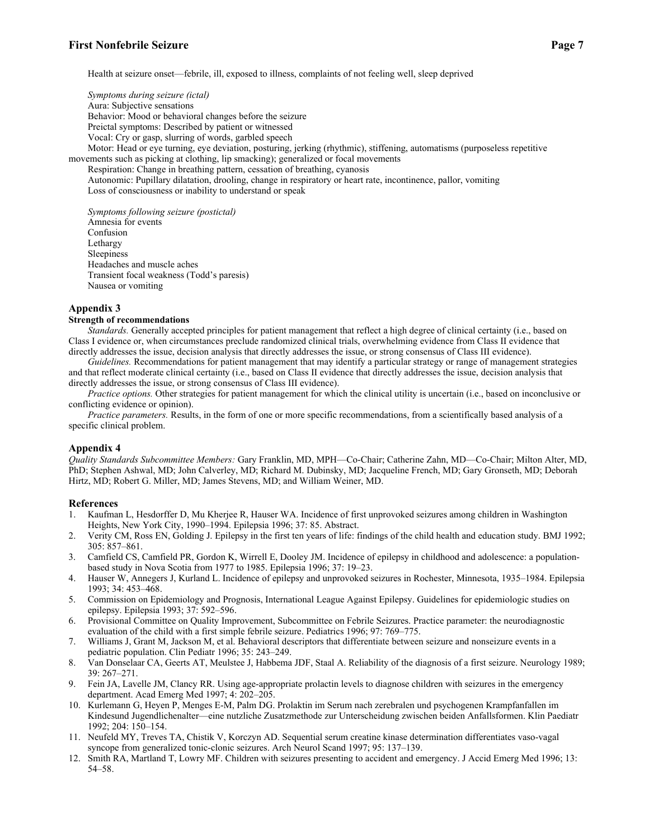Health at seizure onset—febrile, ill, exposed to illness, complaints of not feeling well, sleep deprived

*Symptoms during seizure (ictal)* 

Aura: Subjective sensations

Behavior: Mood or behavioral changes before the seizure

Preictal symptoms: Described by patient or witnessed

Vocal: Cry or gasp, slurring of words, garbled speech

Motor: Head or eye turning, eye deviation, posturing, jerking (rhythmic), stiffening, automatisms (purposeless repetitive movements such as picking at clothing, lip smacking); generalized or focal movements

Respiration: Change in breathing pattern, cessation of breathing, cyanosis Autonomic: Pupillary dilatation, drooling, change in respiratory or heart rate, incontinence, pallor, vomiting Loss of consciousness or inability to understand or speak

*Symptoms following seizure (postictal)*  Amnesia for events Confusion Lethargy Sleepiness Headaches and muscle aches Transient focal weakness (Todd's paresis) Nausea or vomiting

## **Appendix 3**

#### **Strength of recommendations**

*Standards.* Generally accepted principles for patient management that reflect a high degree of clinical certainty (i.e., based on Class I evidence or, when circumstances preclude randomized clinical trials, overwhelming evidence from Class II evidence that directly addresses the issue, decision analysis that directly addresses the issue, or strong consensus of Class III evidence).

*Guidelines.* Recommendations for patient management that may identify a particular strategy or range of management strategies and that reflect moderate clinical certainty (i.e., based on Class II evidence that directly addresses the issue, decision analysis that directly addresses the issue, or strong consensus of Class III evidence).

*Practice options.* Other strategies for patient management for which the clinical utility is uncertain (i.e., based on inconclusive or conflicting evidence or opinion).

*Practice parameters.* Results, in the form of one or more specific recommendations, from a scientifically based analysis of a specific clinical problem.

### **Appendix 4**

*Quality Standards Subcommittee Members:* Gary Franklin, MD, MPH—Co-Chair; Catherine Zahn, MD—Co-Chair; Milton Alter, MD, PhD; Stephen Ashwal, MD; John Calverley, MD; Richard M. Dubinsky, MD; Jacqueline French, MD; Gary Gronseth, MD; Deborah Hirtz, MD; Robert G. Miller, MD; James Stevens, MD; and William Weiner, MD.

### **References**

- 1. Kaufman L, Hesdorffer D, Mu Kherjee R, Hauser WA. Incidence of first unprovoked seizures among children in Washington Heights, New York City, 1990–1994. Epilepsia 1996; 37: 85. Abstract.
- 2. Verity CM, Ross EN, Golding J. Epilepsy in the first ten years of life: findings of the child health and education study. BMJ 1992; 305: 857–861.
- 3. Camfield CS, Camfield PR, Gordon K, Wirrell E, Dooley JM. Incidence of epilepsy in childhood and adolescence: a populationbased study in Nova Scotia from 1977 to 1985. Epilepsia 1996; 37: 19–23.
- 4. Hauser W, Annegers J, Kurland L. Incidence of epilepsy and unprovoked seizures in Rochester, Minnesota, 1935–1984. Epilepsia 1993; 34: 453–468.
- 5. Commission on Epidemiology and Prognosis, International League Against Epilepsy. Guidelines for epidemiologic studies on epilepsy. Epilepsia 1993; 37: 592–596.
- 6. Provisional Committee on Quality Improvement, Subcommittee on Febrile Seizures. Practice parameter: the neurodiagnostic evaluation of the child with a first simple febrile seizure. Pediatrics 1996; 97: 769–775.
- 7. Williams J, Grant M, Jackson M, et al. Behavioral descriptors that differentiate between seizure and nonseizure events in a pediatric population. Clin Pediatr 1996; 35: 243–249.
- 8. Van Donselaar CA, Geerts AT, Meulstee J, Habbema JDF, Staal A. Reliability of the diagnosis of a first seizure. Neurology 1989; 39: 267–271.
- 9. Fein JA, Lavelle JM, Clancy RR. Using age-appropriate prolactin levels to diagnose children with seizures in the emergency department. Acad Emerg Med 1997; 4: 202–205.
- 10. Kurlemann G, Heyen P, Menges E-M, Palm DG. Prolaktin im Serum nach zerebralen und psychogenen Krampfanfallen im Kindesund Jugendlichenalter—eine nutzliche Zusatzmethode zur Unterscheidung zwischen beiden Anfallsformen. Klin Paediatr 1992; 204: 150–154.
- 11. Neufeld MY, Treves TA, Chistik V, Korczyn AD. Sequential serum creatine kinase determination differentiates vaso-vagal syncope from generalized tonic-clonic seizures. Arch Neurol Scand 1997; 95: 137–139.
- 12. Smith RA, Martland T, Lowry MF. Children with seizures presenting to accident and emergency. J Accid Emerg Med 1996; 13: 54–58.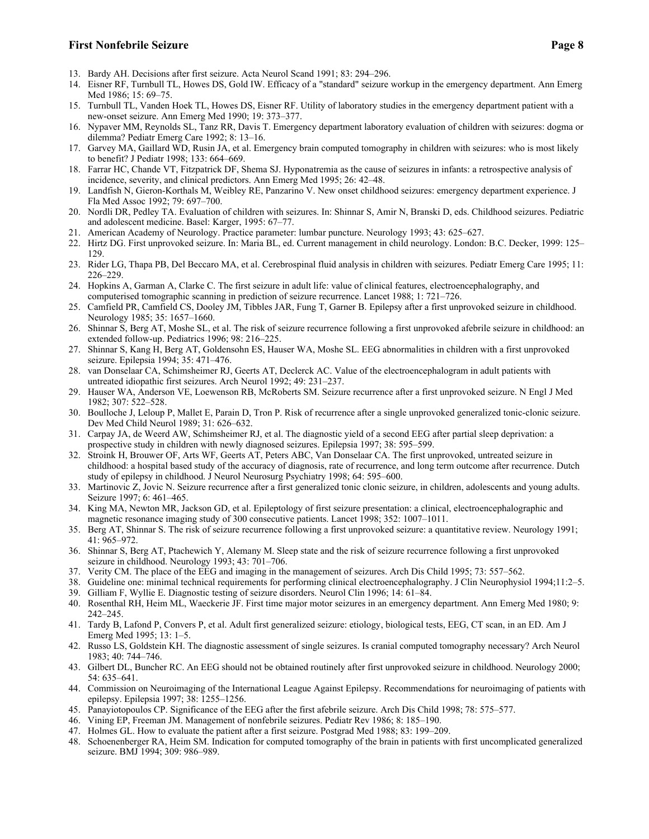- 13. Bardy AH. Decisions after first seizure. Acta Neurol Scand 1991; 83: 294–296.
- 14. Eisner RF, Turnbull TL, Howes DS, Gold IW. Efficacy of a "standard" seizure workup in the emergency department. Ann Emerg Med 1986; 15: 69–75.
- 15. Turnbull TL, Vanden Hoek TL, Howes DS, Eisner RF. Utility of laboratory studies in the emergency department patient with a new-onset seizure. Ann Emerg Med 1990; 19: 373–377.
- 16. Nypaver MM, Reynolds SL, Tanz RR, Davis T. Emergency department laboratory evaluation of children with seizures: dogma or dilemma? Pediatr Emerg Care 1992; 8: 13–16.
- 17. Garvey MA, Gaillard WD, Rusin JA, et al. Emergency brain computed tomography in children with seizures: who is most likely to benefit? J Pediatr 1998; 133: 664–669.
- 18. Farrar HC, Chande VT, Fitzpatrick DF, Shema SJ. Hyponatremia as the cause of seizures in infants: a retrospective analysis of incidence, severity, and clinical predictors. Ann Emerg Med 1995; 26: 42–48.
- 19. Landfish N, Gieron-Korthals M, Weibley RE, Panzarino V. New onset childhood seizures: emergency department experience. J Fla Med Assoc 1992; 79: 697–700.
- 20. Nordli DR, Pedley TA. Evaluation of children with seizures. In: Shinnar S, Amir N, Branski D, eds. Childhood seizures. Pediatric and adolescent medicine. Basel: Karger, 1995: 67–77.
- 21. American Academy of Neurology. Practice parameter: lumbar puncture. Neurology 1993; 43: 625–627.
- 22. Hirtz DG. First unprovoked seizure. In: Maria BL, ed. Current management in child neurology. London: B.C. Decker, 1999: 125– 129.
- 23. Rider LG, Thapa PB, Del Beccaro MA, et al. Cerebrospinal fluid analysis in children with seizures. Pediatr Emerg Care 1995; 11: 226–229.
- 24. Hopkins A, Garman A, Clarke C. The first seizure in adult life: value of clinical features, electroencephalography, and computerised tomographic scanning in prediction of seizure recurrence. Lancet 1988; 1: 721–726.
- 25. Camfield PR, Camfield CS, Dooley JM, Tibbles JAR, Fung T, Garner B. Epilepsy after a first unprovoked seizure in childhood. Neurology 1985; 35: 1657–1660.
- 26. Shinnar S, Berg AT, Moshe SL, et al. The risk of seizure recurrence following a first unprovoked afebrile seizure in childhood: an extended follow-up. Pediatrics 1996; 98: 216–225.
- 27. Shinnar S, Kang H, Berg AT, Goldensohn ES, Hauser WA, Moshe SL. EEG abnormalities in children with a first unprovoked seizure. Epilepsia 1994; 35: 471–476.
- 28. van Donselaar CA, Schimsheimer RJ, Geerts AT, Declerck AC. Value of the electroencephalogram in adult patients with untreated idiopathic first seizures. Arch Neurol 1992; 49: 231–237.
- 29. Hauser WA, Anderson VE, Loewenson RB, McRoberts SM. Seizure recurrence after a first unprovoked seizure. N Engl J Med 1982; 307: 522–528.
- 30. Boulloche J, Leloup P, Mallet E, Parain D, Tron P. Risk of recurrence after a single unprovoked generalized tonic-clonic seizure. Dev Med Child Neurol 1989; 31: 626–632.
- 31. Carpay JA, de Weerd AW, Schimsheimer RJ, et al. The diagnostic yield of a second EEG after partial sleep deprivation: a prospective study in children with newly diagnosed seizures. Epilepsia 1997; 38: 595–599.
- 32. Stroink H, Brouwer OF, Arts WF, Geerts AT, Peters ABC, Van Donselaar CA. The first unprovoked, untreated seizure in childhood: a hospital based study of the accuracy of diagnosis, rate of recurrence, and long term outcome after recurrence. Dutch study of epilepsy in childhood. J Neurol Neurosurg Psychiatry 1998; 64: 595–600.
- 33. Martinovic Z, Jovic N. Seizure recurrence after a first generalized tonic clonic seizure, in children, adolescents and young adults. Seizure 1997; 6: 461–465.
- 34. King MA, Newton MR, Jackson GD, et al. Epileptology of first seizure presentation: a clinical, electroencephalographic and magnetic resonance imaging study of 300 consecutive patients. Lancet 1998; 352: 1007–1011.
- 35. Berg AT, Shinnar S. The risk of seizure recurrence following a first unprovoked seizure: a quantitative review. Neurology 1991; 41: 965–972.
- 36. Shinnar S, Berg AT, Ptachewich Y, Alemany M. Sleep state and the risk of seizure recurrence following a first unprovoked seizure in childhood. Neurology 1993; 43: 701–706.
- 37. Verity CM. The place of the EEG and imaging in the management of seizures. Arch Dis Child 1995; 73: 557–562.
- 38. Guideline one: minimal technical requirements for performing clinical electroencephalography. J Clin Neurophysiol 1994;11:2–5.
- 39. Gilliam F, Wyllie E. Diagnostic testing of seizure disorders. Neurol Clin 1996; 14: 61–84.
- 40. Rosenthal RH, Heim ML, Waeckerie JF. First time major motor seizures in an emergency department. Ann Emerg Med 1980; 9: 242–245.
- 41. Tardy B, Lafond P, Convers P, et al. Adult first generalized seizure: etiology, biological tests, EEG, CT scan, in an ED. Am J Emerg Med 1995; 13: 1–5.
- 42. Russo LS, Goldstein KH. The diagnostic assessment of single seizures. Is cranial computed tomography necessary? Arch Neurol 1983; 40: 744–746.
- 43. Gilbert DL, Buncher RC. An EEG should not be obtained routinely after first unprovoked seizure in childhood. Neurology 2000; 54: 635–641.
- 44. Commission on Neuroimaging of the International League Against Epilepsy. Recommendations for neuroimaging of patients with epilepsy. Epilepsia 1997; 38: 1255–1256.
- 45. Panayiotopoulos CP. Significance of the EEG after the first afebrile seizure. Arch Dis Child 1998; 78: 575–577.
- 46. Vining EP, Freeman JM. Management of nonfebrile seizures. Pediatr Rev 1986; 8: 185–190.
- 47. Holmes GL. How to evaluate the patient after a first seizure. Postgrad Med 1988; 83: 199–209.
- 48. Schoenenberger RA, Heim SM. Indication for computed tomography of the brain in patients with first uncomplicated generalized seizure. BMJ 1994; 309: 986–989.